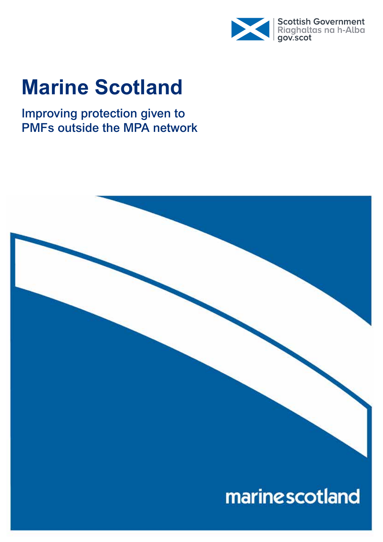

# **Marine Scotland**

Improving protection given to PMFs outside the MPA network

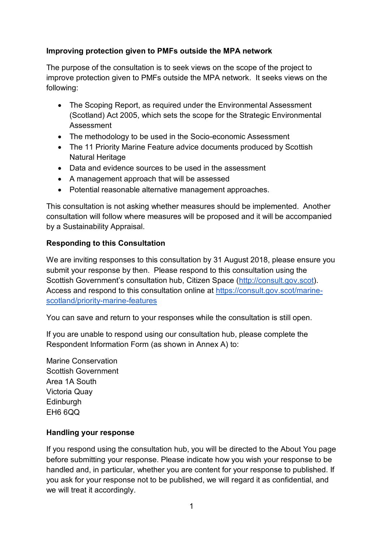#### **Improving protection given to PMFs outside the MPA network**

The purpose of the consultation is to seek views on the scope of the project to improve protection given to PMFs outside the MPA network. It seeks views on the following:

- The Scoping Report, as required under the Environmental Assessment (Scotland) Act 2005, which sets the scope for the Strategic Environmental Assessment
- The methodology to be used in the Socio-economic Assessment
- The 11 Priority Marine Feature advice documents produced by Scottish Natural Heritage
- Data and evidence sources to be used in the assessment
- A management approach that will be assessed
- Potential reasonable alternative management approaches.

This consultation is not asking whether measures should be implemented. Another consultation will follow where measures will be proposed and it will be accompanied by a Sustainability Appraisal.

#### **Responding to this Consultation**

We are inviting responses to this consultation by 31 August 2018, please ensure you submit your response by then. Please respond to this consultation using the Scottish Government's consultation hub, Citizen Space (http://consult.gov.scot). Access and respond to this consultation online at https://consult.gov.scot/marinescotland/priority-marine-features

You can save and return to your responses while the consultation is still open.

If you are unable to respond using our consultation hub, please complete the Respondent Information Form (as shown in Annex A) to:

Marine Conservation Scottish Government Area 1A South Victoria Quay **Edinburgh** EH6 6QQ

#### **Handling your response**

If you respond using the consultation hub, you will be directed to the About You page before submitting your response. Please indicate how you wish your response to be handled and, in particular, whether you are content for your response to published. If you ask for your response not to be published, we will regard it as confidential, and we will treat it accordingly.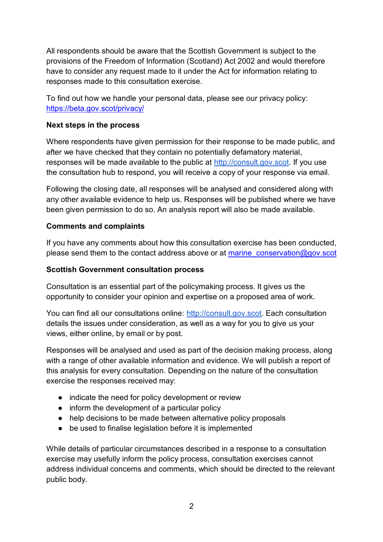All respondents should be aware that the Scottish Government is subject to the provisions of the Freedom of Information (Scotland) Act 2002 and would therefore have to consider any request made to it under the Act for information relating to responses made to this consultation exercise.

To find out how we handle your personal data, please see our privacy policy: https://beta.gov.scot/privacy/

#### **Next steps in the process**

Where respondents have given permission for their response to be made public, and after we have checked that they contain no potentially defamatory material, responses will be made available to the public at http://consult.gov.scot. If you use the consultation hub to respond, you will receive a copy of your response via email.

Following the closing date, all responses will be analysed and considered along with any other available evidence to help us. Responses will be published where we have been given permission to do so. An analysis report will also be made available.

#### **Comments and complaints**

If you have any comments about how this consultation exercise has been conducted, please send them to the contact address above or at marine\_conservation@gov.scot

#### **Scottish Government consultation process**

Consultation is an essential part of the policymaking process. It gives us the opportunity to consider your opinion and expertise on a proposed area of work.

You can find all our consultations online: http://consult.gov.scot. Each consultation details the issues under consideration, as well as a way for you to give us your views, either online, by email or by post.

Responses will be analysed and used as part of the decision making process, along with a range of other available information and evidence. We will publish a report of this analysis for every consultation. Depending on the nature of the consultation exercise the responses received may:

- indicate the need for policy development or review
- inform the development of a particular policy
- help decisions to be made between alternative policy proposals
- be used to finalise legislation before it is implemented

While details of particular circumstances described in a response to a consultation exercise may usefully inform the policy process, consultation exercises cannot address individual concerns and comments, which should be directed to the relevant public body.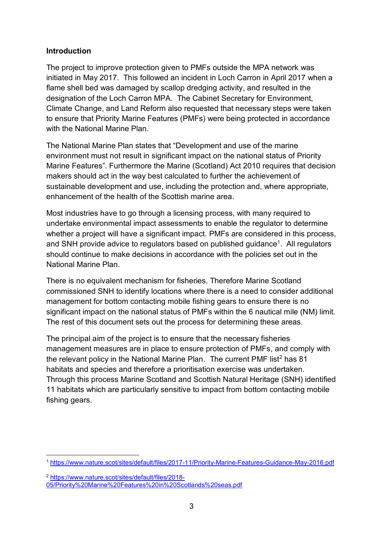#### **Introduction**

The project to improve protection given to PMFs outside the MPA network was initiated in May 2017. This followed an incident in Loch Carron in April 2017 when a flame shell bed was damaged by scallop dredging activity, and resulted in the designation of the Loch Carron MPA. The Cabinet Secretary for Environment, Climate Change, and Land Reform also requested that necessary steps were taken to ensure that Priority Marine Features (PMFs) were being protected in accordance with the National Marine Plan.

The National Marine Plan states that "Development and use of the marine environment must not result in significant impact on the national status of Priority Marine Features". Furthermore the Marine (Scotland) Act 2010 requires that decision makers should act in the way best calculated to further the achievement of sustainable development and use, including the protection and, where appropriate, enhancement of the health of the Scottish marine area.

Most industries have to go through a licensing process, with many required to undertake environmental impact assessments to enable the regulator to determine whether a project will have a significant impact. PMFs are considered in this process, and SNH provide advice to regulators based on published guidance<sup>1</sup>. All regulators should continue to make decisions in accordance with the policies set out in the National Marine Plan.

There is no equivalent mechanism for fisheries. Therefore Marine Scotland commissioned SNH to identify locations where there is a need to consider additional management for bottom contacting mobile fishing gears to ensure there is no significant impact on the national status of PMFs within the 6 nautical mile (NM) limit. The rest of this document sets out the process for determining these areas.

The principal aim of the project is to ensure that the necessary fisheries management measures are in place to ensure protection of PMFs, and comply with the relevant policy in the National Marine Plan. The current PMF list<sup>2</sup> has 81 habitats and species and therefore a prioritisation exercise was undertaken. Through this process Marine Scotland and Scottish Natural Heritage (SNH) identified 11 habitats which are particularly sensitive to impact from bottom contacting mobile fishing gears.

<sup>2</sup> https://www.nature.scot/sites/default/files/2018-

 <sup>1</sup> https://www.nature.scot/sites/default/files/2017-11/Priority-Marine-Features-Guidance-May-2016.pdf

<sup>05/</sup>Priority%20Marine%20Features%20in%20Scotlands%20seas.pdf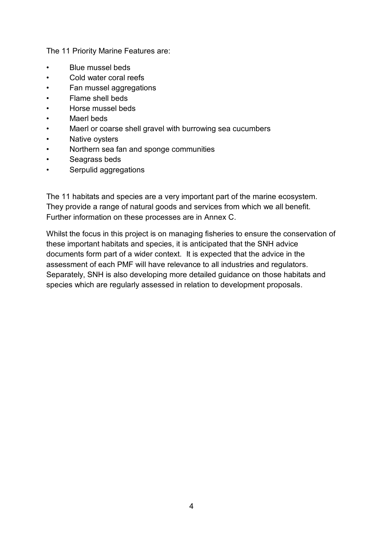The 11 Priority Marine Features are:

- Blue mussel beds
- Cold water coral reefs
- Fan mussel aggregations
- Flame shell beds
- Horse mussel beds
- Maerl beds
- Maerl or coarse shell gravel with burrowing sea cucumbers
- Native ovsters
- Northern sea fan and sponge communities
- Seagrass beds
- Serpulid aggregations

The 11 habitats and species are a very important part of the marine ecosystem. They provide a range of natural goods and services from which we all benefit. Further information on these processes are in Annex C.

Whilst the focus in this project is on managing fisheries to ensure the conservation of these important habitats and species, it is anticipated that the SNH advice documents form part of a wider context. It is expected that the advice in the assessment of each PMF will have relevance to all industries and regulators. Separately, SNH is also developing more detailed guidance on those habitats and species which are regularly assessed in relation to development proposals.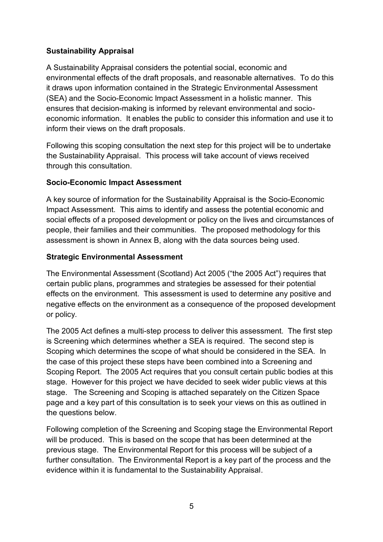#### **Sustainability Appraisal**

A Sustainability Appraisal considers the potential social, economic and environmental effects of the draft proposals, and reasonable alternatives. To do this it draws upon information contained in the Strategic Environmental Assessment (SEA) and the Socio-Economic Impact Assessment in a holistic manner. This ensures that decision-making is informed by relevant environmental and socioeconomic information. It enables the public to consider this information and use it to inform their views on the draft proposals.

Following this scoping consultation the next step for this project will be to undertake the Sustainability Appraisal. This process will take account of views received through this consultation.

#### **Socio-Economic Impact Assessment**

A key source of information for the Sustainability Appraisal is the Socio-Economic Impact Assessment. This aims to identify and assess the potential economic and social effects of a proposed development or policy on the lives and circumstances of people, their families and their communities. The proposed methodology for this assessment is shown in Annex B, along with the data sources being used.

#### **Strategic Environmental Assessment**

The Environmental Assessment (Scotland) Act 2005 ("the 2005 Act") requires that certain public plans, programmes and strategies be assessed for their potential effects on the environment. This assessment is used to determine any positive and negative effects on the environment as a consequence of the proposed development or policy.

The 2005 Act defines a multi-step process to deliver this assessment. The first step is Screening which determines whether a SEA is required. The second step is Scoping which determines the scope of what should be considered in the SEA. In the case of this project these steps have been combined into a Screening and Scoping Report. The 2005 Act requires that you consult certain public bodies at this stage. However for this project we have decided to seek wider public views at this stage. The Screening and Scoping is attached separately on the Citizen Space page and a key part of this consultation is to seek your views on this as outlined in the questions below.

Following completion of the Screening and Scoping stage the Environmental Report will be produced. This is based on the scope that has been determined at the previous stage. The Environmental Report for this process will be subject of a further consultation. The Environmental Report is a key part of the process and the evidence within it is fundamental to the Sustainability Appraisal.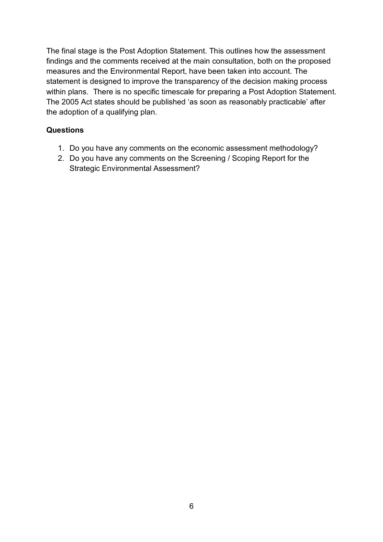The final stage is the Post Adoption Statement. This outlines how the assessment findings and the comments received at the main consultation, both on the proposed measures and the Environmental Report, have been taken into account. The statement is designed to improve the transparency of the decision making process within plans. There is no specific timescale for preparing a Post Adoption Statement. The 2005 Act states should be published 'as soon as reasonably practicable' after the adoption of a qualifying plan.

#### **Questions**

- 1. Do you have any comments on the economic assessment methodology?
- 2. Do you have any comments on the Screening / Scoping Report for the Strategic Environmental Assessment?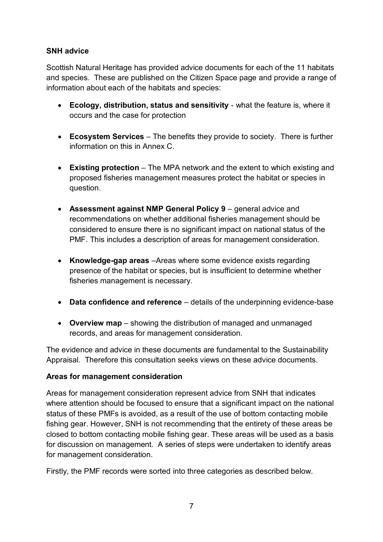#### **SNH advice**

Scottish Natural Heritage has provided advice documents for each of the 11 habitats and species. These are published on the Citizen Space page and provide a range of information about each of the habitats and species:

- **Ecology, distribution, status and sensitivity** what the feature is, where it occurs and the case for protection
- **Ecosystem Services** The benefits they provide to society. There is further information on this in Annex C.
- **Existing protection** The MPA network and the extent to which existing and proposed fisheries management measures protect the habitat or species in question.
- **Assessment against NMP General Policy 9** general advice and recommendations on whether additional fisheries management should be considered to ensure there is no significant impact on national status of the PMF. This includes a description of areas for management consideration.
- **Knowledge-gap areas** –Areas where some evidence exists regarding presence of the habitat or species, but is insufficient to determine whether fisheries management is necessary.
- **Data confidence and reference** details of the underpinning evidence-base
- **Overview map** showing the distribution of managed and unmanaged records, and areas for management consideration.

The evidence and advice in these documents are fundamental to the Sustainability Appraisal. Therefore this consultation seeks views on these advice documents.

#### **Areas for management consideration**

Areas for management consideration represent advice from SNH that indicates where attention should be focused to ensure that a significant impact on the national status of these PMFs is avoided, as a result of the use of bottom contacting mobile fishing gear. However, SNH is not recommending that the entirety of these areas be closed to bottom contacting mobile fishing gear. These areas will be used as a basis for discussion on management. A series of steps were undertaken to identify areas for management consideration.

Firstly, the PMF records were sorted into three categories as described below.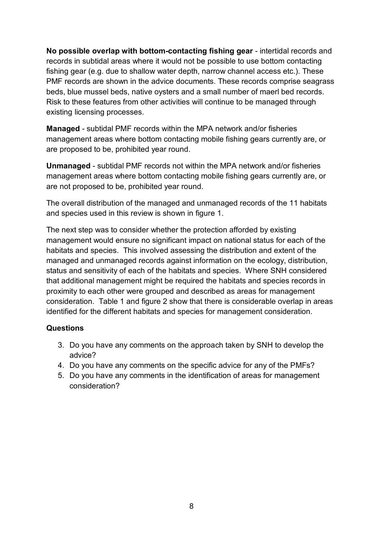**No possible overlap with bottom-contacting fishing gear** - intertidal records and records in subtidal areas where it would not be possible to use bottom contacting fishing gear (e.g. due to shallow water depth, narrow channel access etc.). These PMF records are shown in the advice documents. These records comprise seagrass beds, blue mussel beds, native oysters and a small number of maerl bed records. Risk to these features from other activities will continue to be managed through existing licensing processes.

**Managed** - subtidal PMF records within the MPA network and/or fisheries management areas where bottom contacting mobile fishing gears currently are, or are proposed to be, prohibited year round.

**Unmanaged** - subtidal PMF records not within the MPA network and/or fisheries management areas where bottom contacting mobile fishing gears currently are, or are not proposed to be, prohibited year round.

The overall distribution of the managed and unmanaged records of the 11 habitats and species used in this review is shown in figure 1.

The next step was to consider whether the protection afforded by existing management would ensure no significant impact on national status for each of the habitats and species. This involved assessing the distribution and extent of the managed and unmanaged records against information on the ecology, distribution, status and sensitivity of each of the habitats and species. Where SNH considered that additional management might be required the habitats and species records in proximity to each other were grouped and described as areas for management consideration. Table 1 and figure 2 show that there is considerable overlap in areas identified for the different habitats and species for management consideration.

#### **Questions**

- 3. Do you have any comments on the approach taken by SNH to develop the advice?
- 4. Do you have any comments on the specific advice for any of the PMFs?
- 5. Do you have any comments in the identification of areas for management consideration?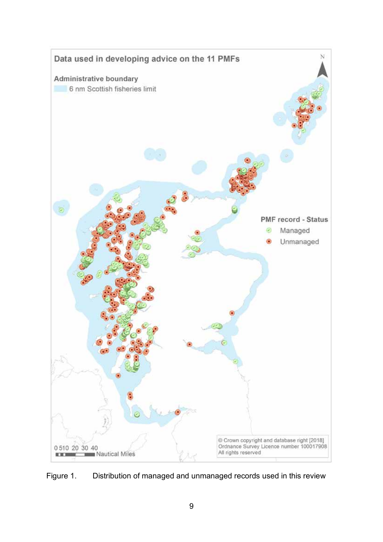

Figure 1. Distribution of managed and unmanaged records used in this review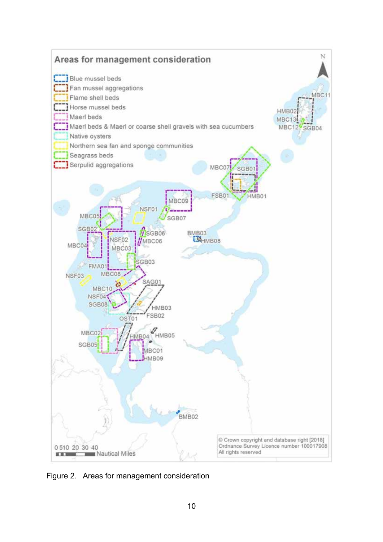

Figure 2. Areas for management consideration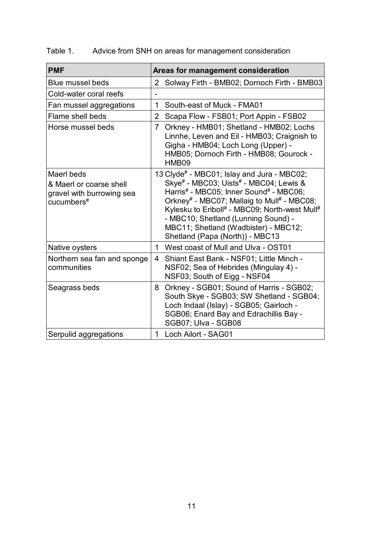| <b>PMF</b>                                                                       | Areas for management consideration                                                                                                                                                                                                                                                                                                                                                              |
|----------------------------------------------------------------------------------|-------------------------------------------------------------------------------------------------------------------------------------------------------------------------------------------------------------------------------------------------------------------------------------------------------------------------------------------------------------------------------------------------|
| <b>Blue mussel beds</b>                                                          | 2<br>Solway Firth - BMB02; Dornoch Firth - BMB03                                                                                                                                                                                                                                                                                                                                                |
| Cold-water coral reefs                                                           |                                                                                                                                                                                                                                                                                                                                                                                                 |
| Fan mussel aggregations                                                          | South-east of Muck - FMA01<br>1                                                                                                                                                                                                                                                                                                                                                                 |
| Flame shell beds                                                                 | $\overline{2}$<br>Scapa Flow - FSB01; Port Appin - FSB02                                                                                                                                                                                                                                                                                                                                        |
| Horse mussel beds                                                                | Orkney - HMB01; Shetland - HMB02; Lochs<br>$\overline{7}$<br>Linnhe, Leven and Eil - HMB03; Craignish to<br>Gigha - HMB04; Loch Long (Upper) -<br>HMB05; Dornoch Firth - HMB08; Gourock -<br>HMB09                                                                                                                                                                                              |
| Maerl beds<br>& Maerl or coarse shell<br>gravel with burrowing sea<br>cucumbers# | 13 Clyde# - MBC01; Islay and Jura - MBC02;<br>Skye <sup>#</sup> - MBC03; Uists <sup>#</sup> - MBC04; Lewis &<br>Harris# - MBC05; Inner Sound# - MBC06;<br>Orkney <sup>#</sup> - MBC07; Mallaig to Mull <sup>#</sup> - MBC08;<br>Kylesku to Eriboll# - MBC09; North-west Mull#<br>- MBC10; Shetland (Lunning Sound) -<br>MBC11; Shetland (Wadbister) - MBC12;<br>Shetland (Papa (North)) - MBC13 |
| Native oysters                                                                   | West coast of Mull and Ulva - OST01<br>$\mathbf 1$                                                                                                                                                                                                                                                                                                                                              |
| Northern sea fan and sponge<br>communities                                       | Shiant East Bank - NSF01; Little Minch -<br>4<br>NSF02; Sea of Hebrides (Mingulay 4) -<br>NSF03; South of Eigg - NSF04                                                                                                                                                                                                                                                                          |
| Seagrass beds                                                                    | Orkney - SGB01; Sound of Harris - SGB02;<br>8<br>South Skye - SGB03; SW Shetland - SGB04;<br>Loch Indaal (Islay) - SGB05; Gairloch -<br>SGB06; Enard Bay and Edrachillis Bay -<br>SGB07; Ulva - SGB08                                                                                                                                                                                           |
| Serpulid aggregations                                                            | 1 Loch Ailort - SAG01                                                                                                                                                                                                                                                                                                                                                                           |

### Table 1. Advice from SNH on areas for management consideration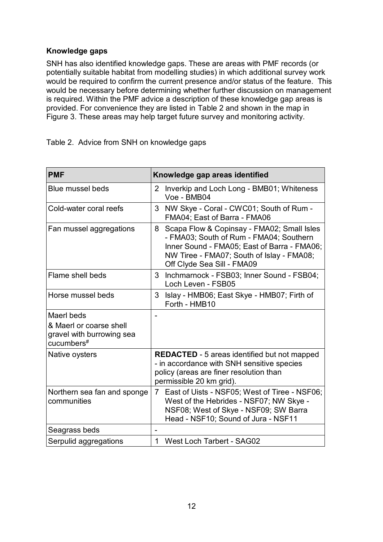#### **Knowledge gaps**

SNH has also identified knowledge gaps. These are areas with PMF records (or potentially suitable habitat from modelling studies) in which additional survey work would be required to confirm the current presence and/or status of the feature. This would be necessary before determining whether further discussion on management is required. Within the PMF advice a description of these knowledge gap areas is provided. For convenience they are listed in Table 2 and shown in the map in Figure 3. These areas may help target future survey and monitoring activity.

Table 2. Advice from SNH on knowledge gaps

| <b>PMF</b>                                                                                   | Knowledge gap areas identified                                                                                                                                                                                       |  |
|----------------------------------------------------------------------------------------------|----------------------------------------------------------------------------------------------------------------------------------------------------------------------------------------------------------------------|--|
| <b>Blue mussel beds</b>                                                                      | Inverkip and Loch Long - BMB01; Whiteness<br>$\overline{2}$<br>Voe - BMB04                                                                                                                                           |  |
| Cold-water coral reefs                                                                       | 3<br>NW Skye - Coral - CWC01; South of Rum -<br>FMA04; East of Barra - FMA06                                                                                                                                         |  |
| Fan mussel aggregations                                                                      | Scapa Flow & Copinsay - FMA02; Small Isles<br>8<br>- FMA03; South of Rum - FMA04; Southern<br>Inner Sound - FMA05; East of Barra - FMA06;<br>NW Tiree - FMA07; South of Islay - FMA08;<br>Off Clyde Sea Sill - FMA09 |  |
| Flame shell beds                                                                             | Inchmarnock - FSB03; Inner Sound - FSB04;<br>3<br>Loch Leven - FSB05                                                                                                                                                 |  |
| Horse mussel beds                                                                            | 3<br>Islay - HMB06; East Skye - HMB07; Firth of<br>Forth - HMB10                                                                                                                                                     |  |
| Maerl beds<br>& Maerl or coarse shell<br>gravel with burrowing sea<br>cucumbers <sup>#</sup> |                                                                                                                                                                                                                      |  |
| Native oysters                                                                               | <b>REDACTED</b> - 5 areas identified but not mapped<br>- in accordance with SNH sensitive species<br>policy (areas are finer resolution than<br>permissible 20 km grid).                                             |  |
| Northern sea fan and sponge<br>communities                                                   | East of Uists - NSF05; West of Tiree - NSF06;<br>$\overline{7}$<br>West of the Hebrides - NSF07; NW Skye -<br>NSF08; West of Skye - NSF09; SW Barra<br>Head - NSF10; Sound of Jura - NSF11                           |  |
| Seagrass beds                                                                                |                                                                                                                                                                                                                      |  |
| Serpulid aggregations                                                                        | <b>West Loch Tarbert - SAG02</b><br>1                                                                                                                                                                                |  |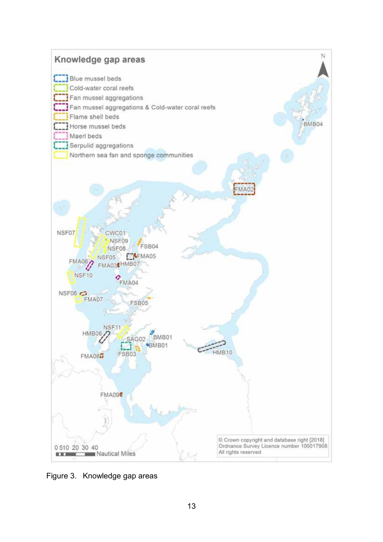

Figure 3. Knowledge gap areas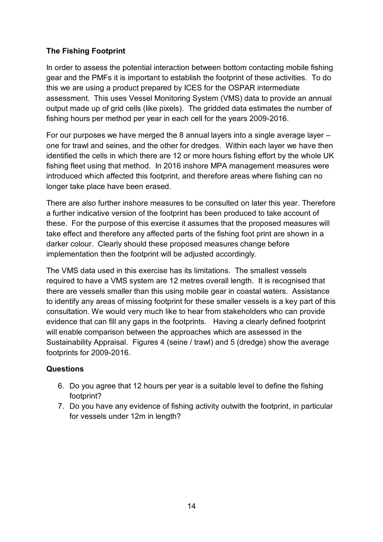#### **The Fishing Footprint**

In order to assess the potential interaction between bottom contacting mobile fishing gear and the PMFs it is important to establish the footprint of these activities. To do this we are using a product prepared by ICES for the OSPAR intermediate assessment. This uses Vessel Monitoring System (VMS) data to provide an annual output made up of grid cells (like pixels). The gridded data estimates the number of fishing hours per method per year in each cell for the years 2009-2016.

For our purposes we have merged the 8 annual layers into a single average layer – one for trawl and seines, and the other for dredges. Within each layer we have then identified the cells in which there are 12 or more hours fishing effort by the whole UK fishing fleet using that method. In 2016 inshore MPA management measures were introduced which affected this footprint, and therefore areas where fishing can no longer take place have been erased.

There are also further inshore measures to be consulted on later this year. Therefore a further indicative version of the footprint has been produced to take account of these. For the purpose of this exercise it assumes that the proposed measures will take effect and therefore any affected parts of the fishing foot print are shown in a darker colour. Clearly should these proposed measures change before implementation then the footprint will be adjusted accordingly.

The VMS data used in this exercise has its limitations. The smallest vessels required to have a VMS system are 12 metres overall length. It is recognised that there are vessels smaller than this using mobile gear in coastal waters. Assistance to identify any areas of missing footprint for these smaller vessels is a key part of this consultation. We would very much like to hear from stakeholders who can provide evidence that can fill any gaps in the footprints. Having a clearly defined footprint will enable comparison between the approaches which are assessed in the Sustainability Appraisal. Figures 4 (seine / trawl) and 5 (dredge) show the average footprints for 2009-2016.

#### **Questions**

- 6. Do you agree that 12 hours per year is a suitable level to define the fishing footprint?
- 7. Do you have any evidence of fishing activity outwith the footprint, in particular for vessels under 12m in length?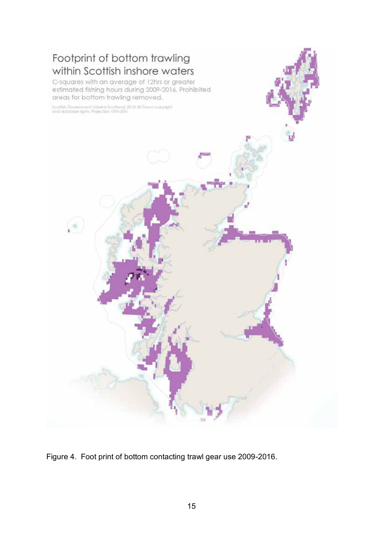

Figure 4. Foot print of bottom contacting trawl gear use 2009-2016.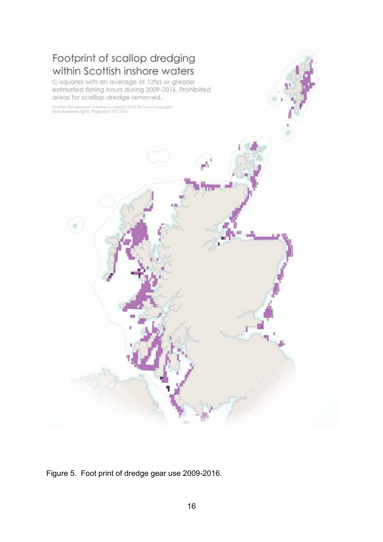

Figure 5. Foot print of dredge gear use 2009-2016.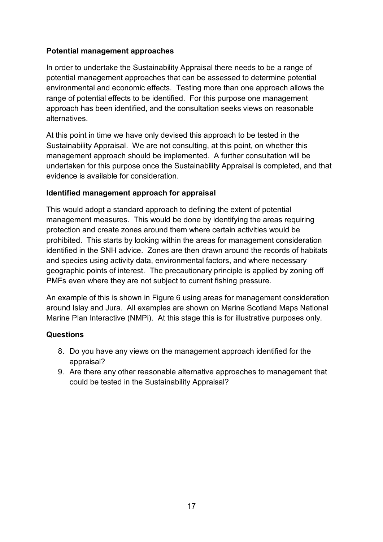#### **Potential management approaches**

In order to undertake the Sustainability Appraisal there needs to be a range of potential management approaches that can be assessed to determine potential environmental and economic effects. Testing more than one approach allows the range of potential effects to be identified. For this purpose one management approach has been identified, and the consultation seeks views on reasonable alternatives.

At this point in time we have only devised this approach to be tested in the Sustainability Appraisal. We are not consulting, at this point, on whether this management approach should be implemented. A further consultation will be undertaken for this purpose once the Sustainability Appraisal is completed, and that evidence is available for consideration.

#### **Identified management approach for appraisal**

This would adopt a standard approach to defining the extent of potential management measures. This would be done by identifying the areas requiring protection and create zones around them where certain activities would be prohibited. This starts by looking within the areas for management consideration identified in the SNH advice. Zones are then drawn around the records of habitats and species using activity data, environmental factors, and where necessary geographic points of interest. The precautionary principle is applied by zoning off PMFs even where they are not subject to current fishing pressure.

An example of this is shown in Figure 6 using areas for management consideration around Islay and Jura. All examples are shown on Marine Scotland Maps National Marine Plan Interactive (NMPi). At this stage this is for illustrative purposes only.

#### **Questions**

- 8. Do you have any views on the management approach identified for the appraisal?
- 9. Are there any other reasonable alternative approaches to management that could be tested in the Sustainability Appraisal?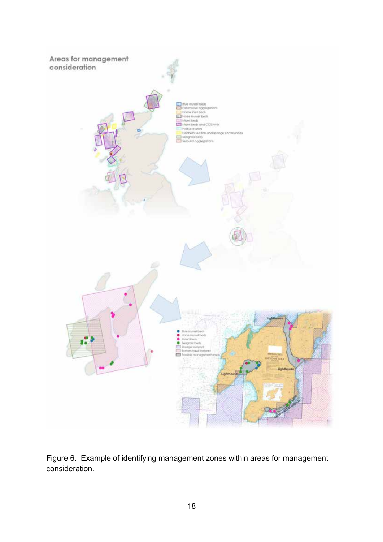

Figure 6. Example of identifying management zones within areas for management consideration.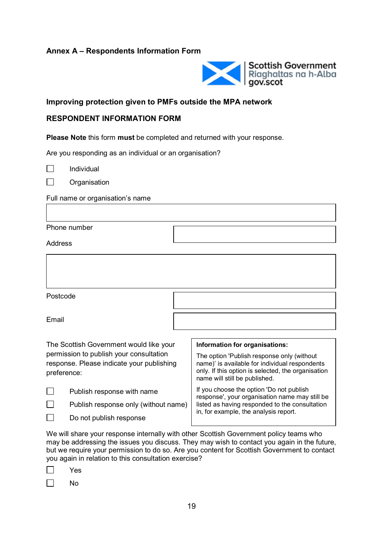#### **Annex A – Respondents Information Form**



#### **Improving protection given to PMFs outside the MPA network**

#### **RESPONDENT INFORMATION FORM**

**Please Note** this form **must** be completed and returned with your response.

Are you responding as an individual or an organisation?

Individual

П **Organisation** 

Full name or organisation's name

Phone number

Address

| Postcode                                                                                                                                       |                                                                                                                                                                                                                       |
|------------------------------------------------------------------------------------------------------------------------------------------------|-----------------------------------------------------------------------------------------------------------------------------------------------------------------------------------------------------------------------|
| Email                                                                                                                                          |                                                                                                                                                                                                                       |
| The Scottish Government would like your<br>permission to publish your consultation<br>response. Please indicate your publishing<br>preference: | Information for organisations:<br>The option 'Publish response only (without<br>name)' is available for individual respondents<br>only. If this option is selected, the organisation<br>name will still be published. |
| Publish response with name                                                                                                                     | If you choose the option 'Do not publish                                                                                                                                                                              |

 $\Box$ 

Publish response only (without name)  $\Box$ 

Do not publish response

If you choose the option 'Do not publish response', your organisation name may still be listed as having responded to the consultation in, for example, the analysis report.

We will share your response internally with other Scottish Government policy teams who may be addressing the issues you discuss. They may wish to contact you again in the future, but we require your permission to do so. Are you content for Scottish Government to contact you again in relation to this consultation exercise?

|--|--|

 $\Box$ No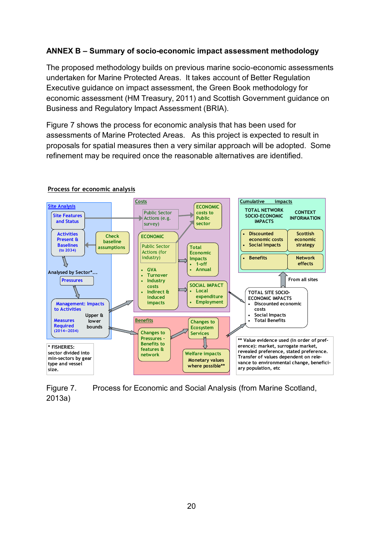#### **ANNEX B – Summary of socio-economic impact assessment methodology**

The proposed methodology builds on previous marine socio-economic assessments undertaken for Marine Protected Areas. It takes account of Better Regulation Executive guidance on impact assessment, the Green Book methodology for economic assessment (HM Treasury, 2011) and Scottish Government guidance on Business and Regulatory Impact Assessment (BRIA).

Figure 7 shows the process for economic analysis that has been used for assessments of Marine Protected Areas. As this project is expected to result in proposals for spatial measures then a very similar approach will be adopted. Some refinement may be required once the reasonable alternatives are identified.



#### **Process for economic analysis**

Figure 7. Process for Economic and Social Analysis (from Marine Scotland, 2013a)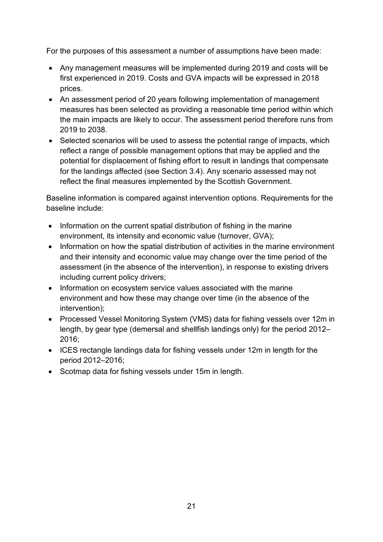For the purposes of this assessment a number of assumptions have been made:

- Any management measures will be implemented during 2019 and costs will be first experienced in 2019. Costs and GVA impacts will be expressed in 2018 prices.
- An assessment period of 20 years following implementation of management measures has been selected as providing a reasonable time period within which the main impacts are likely to occur. The assessment period therefore runs from 2019 to 2038.
- Selected scenarios will be used to assess the potential range of impacts, which reflect a range of possible management options that may be applied and the potential for displacement of fishing effort to result in landings that compensate for the landings affected (see Section 3.4). Any scenario assessed may not reflect the final measures implemented by the Scottish Government.

Baseline information is compared against intervention options. Requirements for the baseline include:

- Information on the current spatial distribution of fishing in the marine environment, its intensity and economic value (turnover, GVA);
- Information on how the spatial distribution of activities in the marine environment and their intensity and economic value may change over the time period of the assessment (in the absence of the intervention), in response to existing drivers including current policy drivers;
- Information on ecosystem service values associated with the marine environment and how these may change over time (in the absence of the intervention);
- Processed Vessel Monitoring System (VMS) data for fishing vessels over 12m in length, by gear type (demersal and shellfish landings only) for the period 2012– 2016;
- ICES rectangle landings data for fishing vessels under 12m in length for the period 2012–2016;
- Scotmap data for fishing vessels under 15m in length.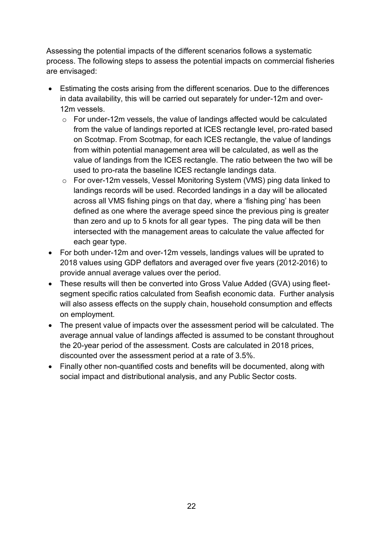Assessing the potential impacts of the different scenarios follows a systematic process. The following steps to assess the potential impacts on commercial fisheries are envisaged:

- Estimating the costs arising from the different scenarios. Due to the differences in data availability, this will be carried out separately for under-12m and over-12m vessels.
	- o For under-12m vessels, the value of landings affected would be calculated from the value of landings reported at ICES rectangle level, pro-rated based on Scotmap. From Scotmap, for each ICES rectangle, the value of landings from within potential management area will be calculated, as well as the value of landings from the ICES rectangle. The ratio between the two will be used to pro-rata the baseline ICES rectangle landings data.
	- o For over-12m vessels, Vessel Monitoring System (VMS) ping data linked to landings records will be used. Recorded landings in a day will be allocated across all VMS fishing pings on that day, where a 'fishing ping' has been defined as one where the average speed since the previous ping is greater than zero and up to 5 knots for all gear types. The ping data will be then intersected with the management areas to calculate the value affected for each gear type.
- For both under-12m and over-12m vessels, landings values will be uprated to 2018 values using GDP deflators and averaged over five years (2012-2016) to provide annual average values over the period.
- These results will then be converted into Gross Value Added (GVA) using fleetsegment specific ratios calculated from Seafish economic data. Further analysis will also assess effects on the supply chain, household consumption and effects on employment.
- The present value of impacts over the assessment period will be calculated. The average annual value of landings affected is assumed to be constant throughout the 20-year period of the assessment. Costs are calculated in 2018 prices, discounted over the assessment period at a rate of 3.5%.
- Finally other non-quantified costs and benefits will be documented, along with social impact and distributional analysis, and any Public Sector costs.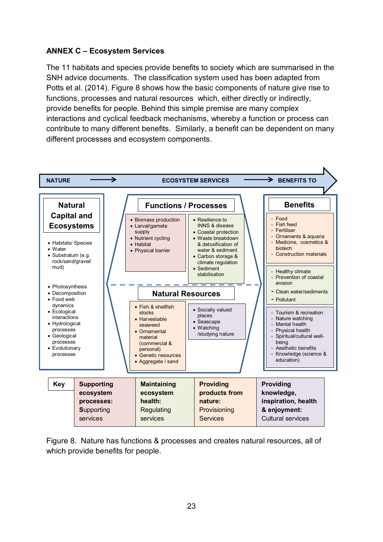#### **ANNEX C – Ecosystem Services**

The 11 habitats and species provide benefits to society which are summarised in the SNH advice documents. The classification system used has been adapted from Potts et al. (2014). Figure 8 shows how the basic components of nature give rise to functions, processes and natural resources which, either directly or indirectly, provide benefits for people. Behind this simple premise are many complex interactions and cyclical feedback mechanisms, whereby a function or process can contribute to many different benefits. Similarly, a benefit can be dependent on many different processes and ecosystem components.



Figure 8. Nature has functions & processes and creates natural resources, all of which provide benefits for people.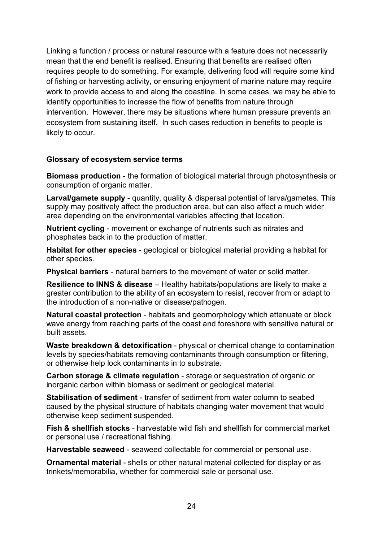Linking a function / process or natural resource with a feature does not necessarily mean that the end benefit is realised. Ensuring that benefits are realised often requires people to do something. For example, delivering food will require some kind of fishing or harvesting activity, or ensuring enjoyment of marine nature may require work to provide access to and along the coastline. In some cases, we may be able to identify opportunities to increase the flow of benefits from nature through intervention. However, there may be situations where human pressure prevents an ecosystem from sustaining itself. In such cases reduction in benefits to people is likely to occur.

#### **Glossary of ecosystem service terms**

**Biomass production** - the formation of biological material through photosynthesis or consumption of organic matter.

**Larval/gamete supply** - quantity, quality & dispersal potential of larva/gametes. This supply may positively affect the production area, but can also affect a much wider area depending on the environmental variables affecting that location.

**Nutrient cycling** - movement or exchange of nutrients such as nitrates and phosphates back in to the production of matter.

**Habitat for other species** - geological or biological material providing a habitat for other species.

**Physical barriers** - natural barriers to the movement of water or solid matter.

**Resilience to INNS & disease** – Healthy habitats/populations are likely to make a greater contribution to the ability of an ecosystem to resist, recover from or adapt to the introduction of a non-native or disease/pathogen.

**Natural coastal protection** - habitats and geomorphology which attenuate or block wave energy from reaching parts of the coast and foreshore with sensitive natural or built assets.

**Waste breakdown & detoxification** - physical or chemical change to contamination levels by species/habitats removing contaminants through consumption or filtering, or otherwise help lock contaminants in to substrate.

**Carbon storage & climate regulation** - storage or sequestration of organic or inorganic carbon within biomass or sediment or geological material.

**Stabilisation of sediment** - transfer of sediment from water column to seabed caused by the physical structure of habitats changing water movement that would otherwise keep sediment suspended.

**Fish & shellfish stocks** - harvestable wild fish and shellfish for commercial market or personal use / recreational fishing.

**Harvestable seaweed** - seaweed collectable for commercial or personal use.

**Ornamental material** - shells or other natural material collected for display or as trinkets/memorabilia, whether for commercial sale or personal use.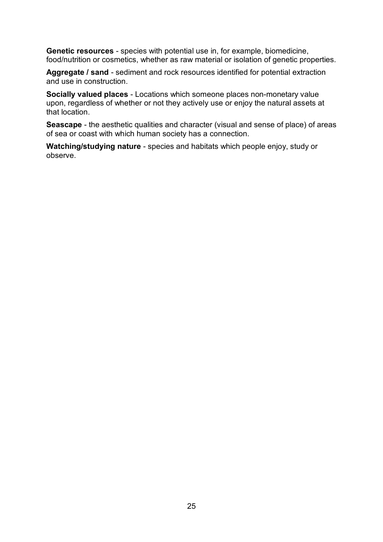**Genetic resources** - species with potential use in, for example, biomedicine, food/nutrition or cosmetics, whether as raw material or isolation of genetic properties.

**Aggregate / sand** - sediment and rock resources identified for potential extraction and use in construction.

**Socially valued places** - Locations which someone places non-monetary value upon, regardless of whether or not they actively use or enjoy the natural assets at that location.

**Seascape** - the aesthetic qualities and character (visual and sense of place) of areas of sea or coast with which human society has a connection.

**Watching/studying nature** - species and habitats which people enjoy, study or observe.